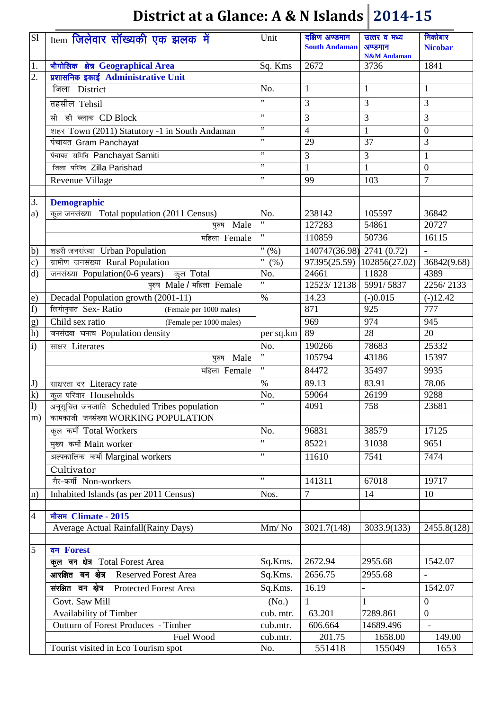| S1                   | Item जिलेवार सॉंख्यकी एक झलक में                                                      | Unit                       | दक्षिण अण्डमान<br><b>South Andaman</b>   | उत्तर व मध्य<br>अण्डमान<br><b>N&amp;M</b> Andaman | निकोबार<br><b>Nicobar</b> |
|----------------------|---------------------------------------------------------------------------------------|----------------------------|------------------------------------------|---------------------------------------------------|---------------------------|
| 1.                   | भौगोलिक क्षेत्र Geographical Area                                                     | Sq. Kms                    | 2672                                     | 3736                                              | 1841                      |
| $\overline{2}$ .     | प्रशासनिक इकाई Administrative Unit                                                    |                            |                                          |                                                   |                           |
|                      | जिला District                                                                         | No.                        | $\mathbf{1}$                             | $\mathbf{1}$                                      | $\mathbf{1}$              |
|                      | तहसील Tehsil                                                                          | ,,                         | 3                                        | 3                                                 | 3                         |
|                      | सी डी ब्लाक CD Block                                                                  | , ,                        | 3                                        | 3                                                 | 3                         |
|                      | शहर Town (2011) Statutory -1 in South Andaman                                         | , ,                        | $\overline{4}$                           | $\mathbf{1}$                                      | $\boldsymbol{0}$          |
|                      | पंचायत Gram Panchayat                                                                 | ,,                         | 29                                       | 37                                                | 3                         |
|                      | पंचायत समिति Panchayat Samiti                                                         | ,,                         | 3                                        | 3                                                 | $\mathbf{1}$              |
|                      | जिला परिषद Zilla Parishad                                                             | ,,                         | $\mathbf{1}$                             | $\mathbf{1}$                                      | $\boldsymbol{0}$          |
|                      | Revenue Village                                                                       | ,,                         | 99                                       | 103                                               | $\overline{7}$            |
|                      |                                                                                       |                            |                                          |                                                   |                           |
| 3.                   | <b>Demographic</b>                                                                    |                            |                                          |                                                   |                           |
| a)                   | कूल जनसंख्या Total population (2011 Census)                                           | No.<br>$\pmb{\mathsf{H}}$  | 238142                                   | 105597                                            | 36842                     |
|                      | पुरुष Male                                                                            | $\pmb{\mathsf{H}}$         | 127283                                   | 54861                                             | 20727                     |
|                      | महिला Female                                                                          |                            | 110859                                   | 50736                                             | 16115                     |
| $\mathbf{b}$         | शहरी जनसंख्या Urban Population                                                        | $\sqrt{6}$<br>$\mathbf{H}$ | $140747(36.98)$ 2741 $\overline{(0.72)}$ |                                                   |                           |
| c)                   | ग्रामीण जनसंख्या Rural Population                                                     | (% )                       | 97395(25.59)<br>24661                    | 102856(27.02)<br>11828                            | 36842(9.68)<br>4389       |
| $\mathbf{d}$         | जनसंख्या Population(0-6 years) कुल Total<br>पुरुष Male / महिला Female                 | No.<br>$\mathbf{H}$        | 12523/12138                              | 5991/5837                                         | 2256/2133                 |
|                      |                                                                                       | $\%$                       | 14.23                                    |                                                   |                           |
| $\epsilon$ )<br>f)   | Decadal Population growth (2001-11)<br>लिगानुपात Sex-Ratio<br>(Female per 1000 males) |                            | 871                                      | $(-)0.015$<br>925                                 | $(-)12.42$<br>777         |
|                      | Child sex ratio                                                                       |                            | 969                                      | 974                                               | 945                       |
| g)<br>h)             | (Female per 1000 males)<br>जनसंख्या घनत्व Population density                          | per sq.km                  | 89                                       | $\overline{28}$                                   | 20                        |
|                      |                                                                                       |                            |                                          | 78683                                             |                           |
| $\mathbf{i}$         | साक्षर Literates<br>पुरुष Male                                                        | No.<br>,,                  | 190266<br>105794                         | 43186                                             | 25332<br>15397            |
|                      |                                                                                       | 11                         | 84472                                    |                                                   |                           |
|                      | महिला Female                                                                          |                            |                                          | 35497                                             | 9935                      |
| J)<br>$\overline{k}$ | साक्षरता दर Literacy rate                                                             | $\frac{0}{0}$              | 89.13<br>59064                           | 83.91                                             | 78.06                     |
| 1)                   | कुल परिवार Households                                                                 | No.<br>,,                  | 4091                                     | 26199<br>758                                      | 9288<br>23681             |
| m)                   | अनूसूचित जनजाति Scheduled Tribes population<br>कामकाजी जनसंख्या WORKING POPULATION    |                            |                                          |                                                   |                           |
|                      | कुल कर्मी Total Workers                                                               | No.                        | 96831                                    | 38579                                             | 17125                     |
|                      | मुख्य कर्मी Main worker                                                               | $\mathbf{H}$               | 85221                                    | 31038                                             | 9651                      |
|                      | अल्पकालिक कर्मी Marginal workers                                                      | $\mathbf{H}$               | 11610                                    | 7541                                              | 7474                      |
|                      | Cultivator                                                                            |                            |                                          |                                                   |                           |
|                      | गैर-कर्मी Non-workers                                                                 | $\mathbf{H}$               | 141311                                   | 67018                                             | 19717                     |
| $\ln$                | Inhabited Islands (as per 2011 Census)                                                | Nos.                       | $\overline{7}$                           | 14                                                | 10                        |
|                      |                                                                                       |                            |                                          |                                                   |                           |
| $\overline{4}$       | मौसम Climate - 2015                                                                   |                            |                                          |                                                   |                           |
|                      | Average Actual Rainfall(Rainy Days)                                                   | Mm/No                      | 3021.7(148)                              | 3033.9(133)                                       | 2455.8(128)               |
|                      |                                                                                       |                            |                                          |                                                   |                           |
| $\overline{5}$       | वन Forest                                                                             |                            |                                          |                                                   |                           |
|                      | कुल वन क्षेत्र Total Forest Area                                                      | Sq.Kms.                    | 2672.94                                  | 2955.68                                           | 1542.07                   |
|                      | आरक्षित वन क्षेत्र Reserved Forest Area                                               | Sq.Kms.                    | 2656.75                                  | 2955.68                                           |                           |
|                      | संरक्षित वन क्षेत्र Protected Forest Area                                             | Sq.Kms.                    | 16.19                                    |                                                   | 1542.07                   |
|                      | Govt. Saw Mill                                                                        | (No.)                      | 1                                        | $\mathbf{1}$                                      | $\boldsymbol{0}$          |
|                      | Availability of Timber                                                                | cub. mtr.                  | 63.201                                   | 7289.861                                          | $\overline{0}$            |
|                      | Outturn of Forest Produces - Timber                                                   | cub.mtr.                   | 606.664                                  | 14689.496                                         |                           |
|                      | Fuel Wood                                                                             | cub.mtr.                   | 201.75                                   | 1658.00                                           | 149.00                    |
|                      | Tourist visited in Eco Tourism spot                                                   | No.                        | 551418                                   | 155049                                            | 1653                      |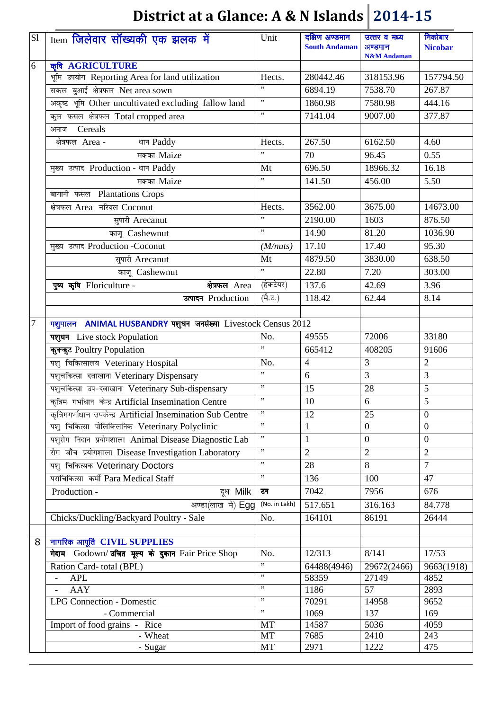| S1     | Item जिलेवार सॉख्यकी एक झलक में                               | Unit          | दक्षिण अण्डमान<br><b>South Andaman</b> | उत्तर व मध्य<br>अण्डमान<br><b>N&amp;M</b> Andaman | निकोबार<br><b>Nicobar</b> |
|--------|---------------------------------------------------------------|---------------|----------------------------------------|---------------------------------------------------|---------------------------|
| 6      | कृषि AGRICULTURE                                              |               |                                        |                                                   |                           |
|        | भूमि उपयोग Reporting Area for land utilization                | Hects.        | 280442.46                              | 318153.96                                         | 157794.50                 |
|        | सकल बुआई क्षेत्रफल Net area sown                              | ,             | 6894.19                                | 7538.70                                           | 267.87                    |
|        | अकृष्ट भूमि Other uncultivated excluding fallow land          | $, \,$        | 1860.98                                | 7580.98                                           | 444.16                    |
|        | कुल फसल क्षेत्रफल Total cropped area                          | ,,            | 7141.04                                | 9007.00                                           | 377.87                    |
|        | अनाज Cereals                                                  |               |                                        |                                                   |                           |
|        | क्षेत्रफल Area-<br>धान Paddy                                  | Hects.        | 267.50                                 | 6162.50                                           | 4.60                      |
|        | मक्का Maize                                                   | ,,            | 70                                     | 96.45                                             | 0.55                      |
|        | मुख्य उत्पाद Production - धान Paddy                           | Mt            | 696.50                                 | 18966.32                                          | 16.18                     |
|        | $\overline{4}$ मक्का Maize                                    | ,             | 141.50                                 | 456.00                                            | 5.50                      |
|        | बागानी फसल Plantations Crops                                  |               |                                        |                                                   |                           |
|        | क्षेत्रफल Area नरियल Coconut                                  | Hects.        | 3562.00                                | 3675.00                                           | 14673.00                  |
|        | सुपारी Arecanut                                               | ,,            | 2190.00                                | 1603                                              | 876.50                    |
|        | काजू Cashewnut                                                | ,,            | 14.90                                  | 81.20                                             | 1036.90                   |
|        | मुख्य उत्पाद Production -Coconut                              | (M/nuts)      | 17.10                                  | 17.40                                             | 95.30                     |
|        | सुपारी Arecanut                                               | Mt            | 4879.50                                | 3830.00                                           | 638.50                    |
|        | काजू Cashewnut                                                | ,             | 22.80                                  | 7.20                                              | 303.00                    |
|        | पुष्प कृषि Floriculture -<br>क्षेत्रफल Area                   | (हेक्टेयर)    | 137.6                                  | 42.69                                             | 3.96                      |
|        | उत्पादन Production                                            | (मै.ट.)       | 118.42                                 | 62.44                                             | 8.14                      |
|        |                                                               |               |                                        |                                                   |                           |
| $\tau$ | पशुपालन ANIMAL HUSBANDRY पशुधन जनसंख्या Livestock Census 2012 |               |                                        |                                                   |                           |
|        | पशुधन Live stock Population                                   | No.           | 49555                                  | 72006                                             | 33180                     |
|        | कुक्कुट Poultry Population                                    | ,,            | 665412                                 | 408205                                            | 91606                     |
|        | पशु चिकित्सालय Veterinary Hospital                            | No.           | $\overline{4}$                         | $\overline{3}$                                    | $\overline{2}$            |
|        | पशुचकित्सा दवाखाना Veterinary Dispensary                      | ,,            | 6                                      | $\overline{3}$                                    | $\overline{3}$            |
|        | पशुचकित्सा उप-दवाखाना Veterinary Sub-dispensary               | $, \,$        | 15                                     | 28                                                | 5                         |
|        | कृत्रिम गर्भाधान केन्द्र Artificial Insemination Centre       | ,,            | 10                                     | 6                                                 | 5                         |
|        | कृत्रिमगर्भाधान उपकेन्द्र Artificial Insemination Sub Centre  | ,,            | 12                                     | 25                                                | $\overline{0}$            |
|        | पशु चिकित्सा पोलिक्लिनिक Veterinary Polyclinic                | ,,            | 1                                      | $\overline{0}$                                    | $\overline{0}$            |
|        | पशुरोग निदान प्रयोगशाला Animal Disease Diagnostic Lab         | , ,           | $\mathbf{1}$                           | $\boldsymbol{0}$                                  | $\overline{0}$            |
|        | रोग जाँच प्रयोगशाला Disease Investigation Laboratory          | ,,            | $\overline{2}$                         | $\overline{2}$                                    | $\overline{2}$            |
|        | पशु चिकित्सक Veterinary Doctors                               | ,,            | 28                                     | 8                                                 | $\overline{7}$            |
|        | पराचिकित्सा कर्मी Para Medical Staff                          | ,             | 136                                    | 100                                               | 47                        |
|        | Production -<br>दुध Milk                                      | टन            | 7042                                   | 7956                                              | 676                       |
|        | अण्डा(लाख में) Egg                                            | (No. in Lakh) | 517.651                                | 316.163                                           | 84.778                    |
|        | Chicks/Duckling/Backyard Poultry - Sale                       | No.           | 164101                                 | 86191                                             | 26444                     |
|        |                                                               |               |                                        |                                                   |                           |
| 8      | नागरिक आपूर्ति CIVIL SUPPLIES                                 |               |                                        |                                                   |                           |
|        | गेदाम Godown/ उचित मूल्य के दुकान Fair Price Shop             | No.           | 12/313                                 | 8/141                                             | 17/53                     |
|        | Ration Card-total (BPL)                                       | , ,           | 64488(4946)                            | 29672(2466)                                       | 9663(1918)                |
|        | <b>APL</b>                                                    | ,,            | 58359                                  | 27149                                             | 4852                      |
|        | AAY                                                           | ,,            | 1186                                   | $\overline{57}$                                   | 2893                      |
|        | <b>LPG Connection - Domestic</b>                              | ,,            | 70291                                  | 14958                                             | 9652                      |
|        | - Commercial                                                  | ,,            | 1069                                   | 137                                               | 169                       |
|        | Import of food grains - Rice                                  | <b>MT</b>     | 14587                                  | 5036                                              | 4059                      |
|        | - Wheat<br>- Sugar                                            | MT<br>MT      | 7685<br>2971                           | 2410<br>1222                                      | 243<br>475                |
|        |                                                               |               |                                        |                                                   |                           |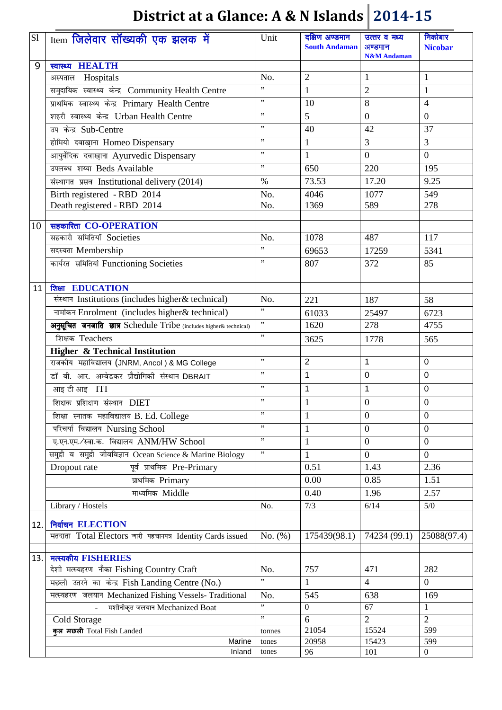| S1  | Item जिलेवार सॉंख्यकी एक झलक में                                  | Unit        | दक्षिण अण्डमान<br><b>South Andaman</b> | उत्तर व मध्य<br>अण्डमान<br><b>N&amp;M</b> Andaman | निकोबार<br><b>Nicobar</b> |
|-----|-------------------------------------------------------------------|-------------|----------------------------------------|---------------------------------------------------|---------------------------|
| 9   | स्वास्थ्य <b>HEALTH</b>                                           |             |                                        |                                                   |                           |
|     | अस्पताल Hospitals                                                 | No.         | $\mathfrak{2}$                         | 1                                                 | 1                         |
|     | समुदायिक स्वास्थ्य केन्द्र Community Health Centre                | ,,          | $\mathbf{1}$                           | $\overline{2}$                                    | $\mathbf{1}$              |
|     | प्राथमिक स्वास्थ्य केन्द्र Primary Health Centre                  | ,,          | 10                                     | $\overline{8}$                                    | $\overline{4}$            |
|     | शहरी स्वास्थ्य केन्द्र Urban Health Centre                        | ,,          | 5                                      | $\boldsymbol{0}$                                  | $\boldsymbol{0}$          |
|     | उप केन्द्र Sub-Centre                                             | $, \,$      | 40                                     | 42                                                | 37                        |
|     | होमियो दवाख़ाना Homeo Dispensary                                  | ,,          | $\mathbf{1}$                           | $\overline{3}$                                    | 3                         |
|     | आयुर्वेदिक दवाख़ाना Ayurvedic Dispensary                          | ,,          | $\mathbf{1}$                           | $\mathbf{0}$                                      | $\overline{0}$            |
|     | उपलब्ध शय्या Beds Available                                       | $, \,$      | 650                                    | 220                                               | 195                       |
|     | संस्थागत प्रसव Institutional delivery (2014)                      | $\%$        | 73.53                                  | 17.20                                             | 9.25                      |
|     | Birth registered - RBD 2014                                       | No.         | 4046                                   | 1077                                              | 549                       |
|     | Death registered - RBD 2014                                       | No.         | 1369                                   | 589                                               | 278                       |
|     |                                                                   |             |                                        |                                                   |                           |
| 10  | सहकारिता CO-OPERATION                                             |             |                                        |                                                   |                           |
|     | सहकारी समितियाँ Societies                                         | No.         | 1078                                   | 487                                               | 117                       |
|     | सदस्यता Membership                                                | ,,          | 69653                                  | 17259                                             | 5341                      |
|     | कार्यरत समितियां Functioning Societies                            | ,,          | 807                                    | 372                                               | 85                        |
|     |                                                                   |             |                                        |                                                   |                           |
| 11  | शिक्षा <b>EDUCATION</b>                                           |             |                                        |                                                   |                           |
|     | संस्थान Institutions (includes higher& technical)                 | No.<br>,    | 221                                    | 187                                               | 58                        |
|     | नामांकन Enrolment (includes higher& technical)                    | ,           | 61033                                  | 25497                                             | 6723                      |
|     | अनुसूचित जनजाति छात्र Schedule Tribe (includes higher& technical) | , ,         | 1620                                   | 278                                               | 4755                      |
|     | शिक्षक Teachers                                                   |             | 3625                                   | 1778                                              | 565                       |
|     | <b>Higher &amp; Technical Institution</b>                         | ,,          |                                        |                                                   |                           |
|     | राजकीय महाविद्यालय (JNRM, Ancol) & MG College                     | ,,          | $\overline{2}$                         | $\mathbf{1}$                                      | $\mathbf 0$               |
|     | डॉ बी. आर. अम्बेडकर प्रौद्योगिकी संस्थान DBRAIT                   |             | $\mathbf{1}$                           | $\mathbf 0$                                       | 0                         |
|     | आइ टी आइ ITI                                                      | ,,          | 1                                      | 1                                                 | 0                         |
|     | शिक्षक प्रशिक्षण संस्थान DIET                                     | ,,          | $\mathbf{1}$                           | $\boldsymbol{0}$                                  | $\mathbf{0}$              |
|     | शिक्षा स्नातक महाविद्यालय B. Ed. College                          | ,,          | 1                                      | $\mathbf{0}$                                      | $\boldsymbol{0}$          |
|     | परिचर्या विद्यालय Nursing School                                  | ,,          | 1                                      | $\boldsymbol{0}$                                  | $\overline{0}$            |
|     | ए.एन.एम./स्वा.क. विद्यालय ANM/HW School                           | , ,         | $\mathbf{1}$                           | $\overline{0}$                                    | $\overline{0}$            |
|     | समुद्री व समुद्री जीवविज्ञान Ocean Science & Marine Biology       | , ,         | 1                                      | $\theta$                                          | $\overline{0}$            |
|     | पूर्व प्राथमिक Pre-Primary<br>Dropout rate                        |             | 0.51                                   | 1.43                                              | 2.36                      |
|     | प्राथमिक Primary                                                  |             | 0.00                                   | 0.85                                              | 1.51                      |
|     | माध्यमिक Middle                                                   |             | 0.40                                   | 1.96                                              | 2.57                      |
|     | Library / Hostels                                                 | No.         | 7/3                                    | 6/14                                              | $5/0$                     |
| 12. | निर्वाचन ELECTION                                                 |             |                                        |                                                   |                           |
|     | मतदाता Total Electors जारी पहचानपत्र Identity Cards issued        | No. $(\% )$ | 175439(98.1)                           | 74234 (99.1)                                      | 25088(97.4)               |
|     |                                                                   |             |                                        |                                                   |                           |
| 13. | मत्स्यकीय FISHERIES                                               |             |                                        |                                                   |                           |
|     | देशी मत्स्यहरण नौका Fishing Country Craft                         | No.         | 757                                    | 471                                               | 282                       |
|     | मछली उतरने का केन्द्र Fish Landing Centre (No.)                   | ,,          | 1                                      | $\overline{4}$                                    | $\overline{0}$            |
|     | मत्स्यहरण जलयान Mechanized Fishing Vessels- Traditional           | No.         | $\overline{545}$                       | 638                                               | 169                       |
|     | मशीनीकृत जलयान Mechanized Boat                                    | ,,          | $\mathbf{0}$                           | 67                                                | 1                         |
|     | Cold Storage                                                      | , ,         | 6                                      | $\overline{2}$                                    | $\overline{2}$            |
|     | क्ल मछली Total Fish Landed                                        | tonnes      | 21054                                  | 15524                                             | 599                       |
|     | Marine                                                            | tones       | 20958                                  | 15423                                             | 599                       |
|     | Inland                                                            | tones       | 96                                     | 101                                               | $\boldsymbol{0}$          |